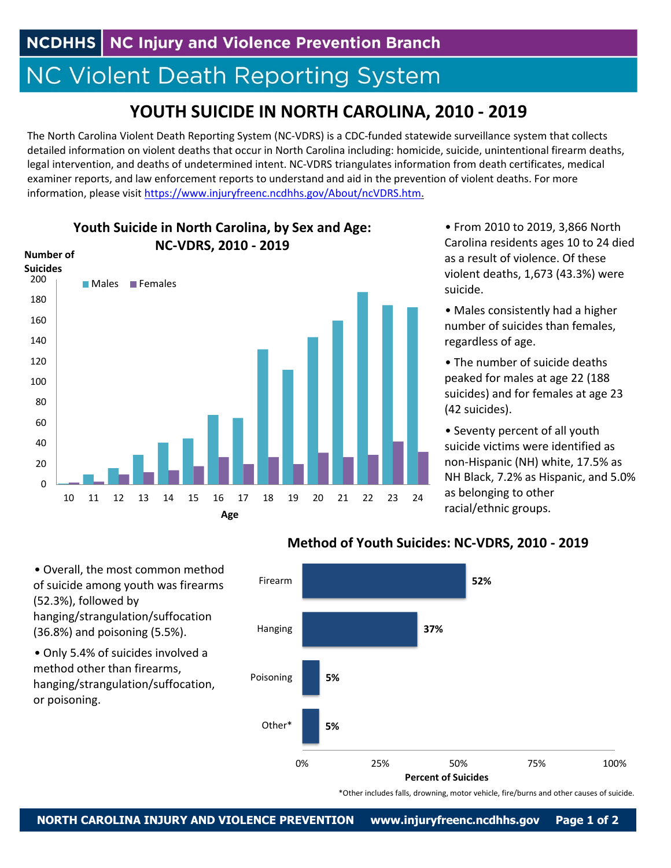## **NC Violent Death Reporting System**

## **YOUTH SUICIDE IN NORTH CAROLINA, 2010 ‐ 2019**

The North Carolina Violent Death Reporting System (NC‐VDRS) is a CDC‐funded statewide surveillance system that collects detailed information on violent deaths that occur in North Carolina including: homicide, suicide, unintentional firearm deaths, legal intervention, and deaths of undetermined intent. NC‐VDRS triangulates information from death certificates, medical examiner reports, and law enforcement reports to understand and aid in the prevention of violent deaths. For more information, please visit https://www.injuryfreenc.ncdhhs.gov/About/ncVDRS.htm.



**Youth Suicide in North Carolina, by Sex and Age: NC‐VDRS, 2010 ‐ 2019**

• From 2010 to 2019, 3,866 North Carolina residents ages 10 to 24 died as a result of violence. Of these violent deaths, 1,673 (43.3%) were suicide.

• Males consistently had a higher number of suicides than females, regardless of age.

• The number of suicide deaths peaked for males at age 22 (188 suicides) and for females at age 23 (42 suicides).

• Seventy percent of all youth suicide victims were identified as non‐Hispanic (NH) white, 17.5% as NH Black, 7.2% as Hispanic, and 5.0% as belonging to other racial/ethnic groups.

• Overall, the most common method of suicide among youth was firearms (52.3%), followed by hanging/strangulation/suffocation (36.8%) and poisoning (5.5%).

• Only 5.4% of suicides involved a method other than firearms, hanging/strangulation/suffocation, or poisoning.



**Method of Youth Suicides: NC‐VDRS, 2010 ‐ 2019**

\*Other includes falls, drowning, motor vehicle, fire/burns and other causes of suicide.